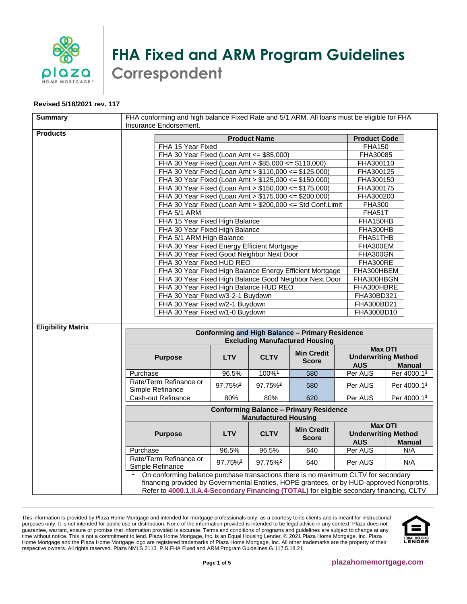

## **FHA Fixed and ARM Program Guidelines Correspondent**

## **Revised 5/18/2021 rev. 117**

| <b>Summary</b>            | FHA conforming and high balance Fixed Rate and 5/1 ARM. All loans must be eligible for FHA<br>Insurance Endorsement.                                                                                                                                                                |                     |                     |                                                           |                |                                              |  |
|---------------------------|-------------------------------------------------------------------------------------------------------------------------------------------------------------------------------------------------------------------------------------------------------------------------------------|---------------------|---------------------|-----------------------------------------------------------|----------------|----------------------------------------------|--|
| <b>Products</b>           | <b>Product Name</b><br><b>Product Code</b>                                                                                                                                                                                                                                          |                     |                     |                                                           |                |                                              |  |
|                           | FHA 15 Year Fixed                                                                                                                                                                                                                                                                   |                     |                     |                                                           | <b>FHA150</b>  |                                              |  |
|                           | FHA 30 Year Fixed (Loan Amt $\le$ \$85,000)                                                                                                                                                                                                                                         |                     |                     |                                                           | FHA30085       |                                              |  |
|                           | FHA 30 Year Fixed (Loan Amt > \$85,000 <= \$110,000)                                                                                                                                                                                                                                |                     |                     |                                                           | FHA300110      |                                              |  |
|                           | FHA 30 Year Fixed (Loan Amt > \$110,000 <= \$125,000)                                                                                                                                                                                                                               |                     |                     |                                                           | FHA300125      |                                              |  |
|                           | FHA 30 Year Fixed (Loan Amt > \$125,000 <= \$150,000)                                                                                                                                                                                                                               |                     |                     |                                                           | FHA300150      |                                              |  |
|                           | FHA 30 Year Fixed (Loan Amt > \$150,000 <= \$175,000)                                                                                                                                                                                                                               |                     |                     |                                                           | FHA300175      |                                              |  |
|                           | FHA 30 Year Fixed (Loan Amt > \$175,000 <= \$200,000)                                                                                                                                                                                                                               |                     |                     |                                                           | FHA300200      |                                              |  |
|                           |                                                                                                                                                                                                                                                                                     |                     |                     | FHA 30 Year Fixed (Loan Amt > \$200,000 <= Std Conf.Limit | <b>FHA300</b>  |                                              |  |
|                           | FHA 5/1 ARM                                                                                                                                                                                                                                                                         |                     |                     |                                                           | FHA51T         |                                              |  |
|                           | FHA 15 Year Fixed High Balance                                                                                                                                                                                                                                                      |                     |                     |                                                           | FHA150HB       |                                              |  |
|                           | FHA 30 Year Fixed High Balance                                                                                                                                                                                                                                                      |                     |                     |                                                           | FHA300HB       |                                              |  |
|                           | FHA 5/1 ARM High Balance                                                                                                                                                                                                                                                            |                     |                     |                                                           | FHA51THB       |                                              |  |
|                           | FHA 30 Year Fixed Energy Efficient Mortgage                                                                                                                                                                                                                                         |                     |                     |                                                           | FHA300EM       |                                              |  |
|                           | FHA 30 Year Fixed Good Neighbor Next Door                                                                                                                                                                                                                                           |                     |                     |                                                           | FHA300GN       |                                              |  |
|                           | FHA 30 Year Fixed HUD REO                                                                                                                                                                                                                                                           |                     |                     |                                                           | FHA300RE       |                                              |  |
|                           |                                                                                                                                                                                                                                                                                     |                     |                     | FHA 30 Year Fixed High Balance Energy Efficient Mortgage  | FHA300HBEM     |                                              |  |
|                           |                                                                                                                                                                                                                                                                                     |                     |                     | FHA 30 Year Fixed High Balance Good Neighbor Next Door    | FHA300HBGN     |                                              |  |
|                           | FHA 30 Year Fixed High Balance HUD REO                                                                                                                                                                                                                                              |                     |                     |                                                           | FHA300HBRE     |                                              |  |
|                           | FHA 30 Year Fixed w/3-2-1 Buydown                                                                                                                                                                                                                                                   |                     |                     |                                                           | FHA30BD321     |                                              |  |
|                           | FHA 30 Year Fixed w/2-1 Buydown                                                                                                                                                                                                                                                     |                     |                     |                                                           | FHA300BD21     |                                              |  |
|                           | FHA 30 Year Fixed w/1-0 Buydown                                                                                                                                                                                                                                                     |                     |                     |                                                           | FHA300BD10     |                                              |  |
| <b>Eligibility Matrix</b> |                                                                                                                                                                                                                                                                                     |                     |                     |                                                           |                |                                              |  |
|                           | <b>Conforming and High Balance - Primary Residence</b><br><b>Excluding Manufactured Housing</b>                                                                                                                                                                                     |                     |                     |                                                           |                |                                              |  |
|                           | <b>Min Credit</b>                                                                                                                                                                                                                                                                   |                     |                     |                                                           | <b>Max DTI</b> |                                              |  |
|                           | <b>LTV</b><br><b>CLTV</b><br><b>Purpose</b>                                                                                                                                                                                                                                         |                     | <b>Score</b>        | <b>Underwriting Method</b>                                |                |                                              |  |
|                           |                                                                                                                                                                                                                                                                                     |                     |                     |                                                           | <b>AUS</b>     | <b>Manual</b>                                |  |
|                           | Purchase                                                                                                                                                                                                                                                                            | 96.5%               | 100%1               | 580                                                       | Per AUS        | Per 4000.13                                  |  |
|                           | Rate/Term Refinance or<br>Simple Refinance                                                                                                                                                                                                                                          | 97.75% <sup>2</sup> | 97.75% <sup>2</sup> | 580                                                       | Per AUS        | Per 4000.13                                  |  |
|                           | Cash-out Refinance                                                                                                                                                                                                                                                                  | 80%                 | 80%                 | 620                                                       | Per AUS        | Per 4000.13                                  |  |
|                           | <b>Conforming Balance - Primary Residence</b><br><b>Manufactured Housing</b>                                                                                                                                                                                                        |                     |                     |                                                           |                |                                              |  |
|                           | <b>Purpose</b>                                                                                                                                                                                                                                                                      | <b>LTV</b>          | <b>CLTV</b>         | <b>Min Credit</b><br><b>Score</b>                         |                | <b>Max DTI</b><br><b>Underwriting Method</b> |  |
|                           |                                                                                                                                                                                                                                                                                     |                     |                     |                                                           | <b>AUS</b>     | <b>Manual</b>                                |  |
|                           | Purchase                                                                                                                                                                                                                                                                            | 96.5%               | 96.5%               | 640                                                       | Per AUS        | N/A                                          |  |
|                           | Rate/Term Refinance or<br>Simple Refinance                                                                                                                                                                                                                                          | 97.75% <sup>2</sup> | 97.75% <sup>2</sup> | 640                                                       | Per AUS        | N/A                                          |  |
|                           | On conforming balance purchase transactions there is no maximum CLTV for secondary<br>1.<br>financing provided by Governmental Entities, HOPE grantees, or by HUD-approved Nonprofits.<br>Refer to 4000.1.II.A.4-Secondary Financing (TOTAL) for eligible secondary financing, CLTV |                     |                     |                                                           |                |                                              |  |

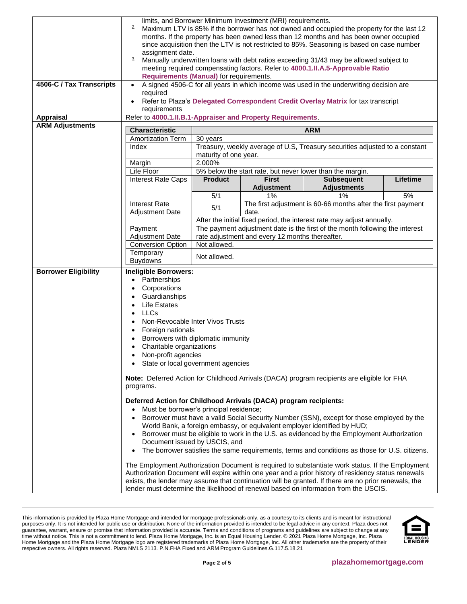|                             | limits, and Borrower Minimum Investment (MRI) requirements.                                                                                                                                                 |                       |                                                 |                                                                                                  |          |
|-----------------------------|-------------------------------------------------------------------------------------------------------------------------------------------------------------------------------------------------------------|-----------------------|-------------------------------------------------|--------------------------------------------------------------------------------------------------|----------|
|                             | 2.<br>Maximum LTV is 85% if the borrower has not owned and occupied the property for the last 12                                                                                                            |                       |                                                 |                                                                                                  |          |
|                             |                                                                                                                                                                                                             |                       |                                                 |                                                                                                  |          |
|                             | months. If the property has been owned less than 12 months and has been owner occupied<br>since acquisition then the LTV is not restricted to 85%. Seasoning is based on case number                        |                       |                                                 |                                                                                                  |          |
|                             | assignment date.                                                                                                                                                                                            |                       |                                                 |                                                                                                  |          |
|                             | 3.                                                                                                                                                                                                          |                       |                                                 | Manually underwritten loans with debt ratios exceeding 31/43 may be allowed subject to           |          |
|                             |                                                                                                                                                                                                             |                       |                                                 | meeting required compensating factors. Refer to 4000.1.II.A.5-Approvable Ratio                   |          |
|                             | <b>Requirements (Manual) for requirements.</b>                                                                                                                                                              |                       |                                                 |                                                                                                  |          |
| 4506-C / Tax Transcripts    |                                                                                                                                                                                                             |                       |                                                 | A signed 4506-C for all years in which income was used in the underwriting decision are          |          |
|                             | required                                                                                                                                                                                                    |                       |                                                 |                                                                                                  |          |
|                             | Refer to Plaza's Delegated Correspondent Credit Overlay Matrix for tax transcript<br>$\bullet$                                                                                                              |                       |                                                 |                                                                                                  |          |
|                             | requirements                                                                                                                                                                                                |                       |                                                 |                                                                                                  |          |
| <b>Appraisal</b>            | Refer to 4000.1.II.B.1-Appraiser and Property Requirements.                                                                                                                                                 |                       |                                                 |                                                                                                  |          |
| <b>ARM Adjustments</b>      | <b>Characteristic</b>                                                                                                                                                                                       | <b>ARM</b>            |                                                 |                                                                                                  |          |
|                             | <b>Amortization Term</b>                                                                                                                                                                                    | 30 years              |                                                 |                                                                                                  |          |
|                             | Index                                                                                                                                                                                                       |                       |                                                 | Treasury, weekly average of U.S, Treasury securities adjusted to a constant                      |          |
|                             |                                                                                                                                                                                                             | maturity of one year. |                                                 |                                                                                                  |          |
|                             | Margin                                                                                                                                                                                                      | 2.000%                |                                                 |                                                                                                  |          |
|                             | Life Floor                                                                                                                                                                                                  |                       |                                                 | 5% below the start rate, but never lower than the margin.                                        |          |
|                             | Interest Rate Caps                                                                                                                                                                                          | <b>Product</b>        | <b>First</b>                                    | <b>Subsequent</b>                                                                                | Lifetime |
|                             |                                                                                                                                                                                                             |                       | <b>Adjustment</b>                               | <b>Adjustments</b>                                                                               |          |
|                             |                                                                                                                                                                                                             | 5/1                   | 1%                                              | 1%                                                                                               | 5%       |
|                             | <b>Interest Rate</b>                                                                                                                                                                                        |                       |                                                 | The first adjustment is 60-66 months after the first payment                                     |          |
|                             | <b>Adjustment Date</b>                                                                                                                                                                                      | 5/1                   | date.                                           |                                                                                                  |          |
|                             |                                                                                                                                                                                                             |                       |                                                 | After the initial fixed period, the interest rate may adjust annually.                           |          |
|                             | Payment                                                                                                                                                                                                     |                       |                                                 | The payment adjustment date is the first of the month following the interest                     |          |
|                             | <b>Adjustment Date</b>                                                                                                                                                                                      |                       | rate adjustment and every 12 months thereafter. |                                                                                                  |          |
|                             | <b>Conversion Option</b>                                                                                                                                                                                    | Not allowed.          |                                                 |                                                                                                  |          |
|                             | Temporary                                                                                                                                                                                                   |                       |                                                 |                                                                                                  |          |
|                             | <b>Buydowns</b>                                                                                                                                                                                             | Not allowed.          |                                                 |                                                                                                  |          |
| <b>Borrower Eligibility</b> | <b>Ineligible Borrowers:</b>                                                                                                                                                                                |                       |                                                 |                                                                                                  |          |
|                             | Partnerships<br>$\bullet$                                                                                                                                                                                   |                       |                                                 |                                                                                                  |          |
|                             | Corporations                                                                                                                                                                                                |                       |                                                 |                                                                                                  |          |
|                             | Guardianships                                                                                                                                                                                               |                       |                                                 |                                                                                                  |          |
|                             | <b>Life Estates</b>                                                                                                                                                                                         |                       |                                                 |                                                                                                  |          |
|                             | <b>LLCs</b><br>$\bullet$                                                                                                                                                                                    |                       |                                                 |                                                                                                  |          |
|                             | $\bullet$                                                                                                                                                                                                   |                       |                                                 |                                                                                                  |          |
|                             | Non-Revocable Inter Vivos Trusts<br>Foreign nationals<br>$\bullet$                                                                                                                                          |                       |                                                 |                                                                                                  |          |
|                             |                                                                                                                                                                                                             |                       |                                                 |                                                                                                  |          |
|                             | Borrowers with diplomatic immunity<br>Charitable organizations                                                                                                                                              |                       |                                                 |                                                                                                  |          |
|                             | Non-profit agencies<br>$\bullet$                                                                                                                                                                            |                       |                                                 |                                                                                                  |          |
|                             | State or local government agencies<br>$\bullet$                                                                                                                                                             |                       |                                                 |                                                                                                  |          |
|                             |                                                                                                                                                                                                             |                       |                                                 |                                                                                                  |          |
|                             | Note: Deferred Action for Childhood Arrivals (DACA) program recipients are eligible for FHA                                                                                                                 |                       |                                                 |                                                                                                  |          |
|                             | programs.                                                                                                                                                                                                   |                       |                                                 |                                                                                                  |          |
|                             |                                                                                                                                                                                                             |                       |                                                 |                                                                                                  |          |
|                             | Deferred Action for Childhood Arrivals (DACA) program recipients:                                                                                                                                           |                       |                                                 |                                                                                                  |          |
|                             | Must be borrower's principal residence;                                                                                                                                                                     |                       |                                                 |                                                                                                  |          |
|                             | $\bullet$                                                                                                                                                                                                   |                       |                                                 | Borrower must have a valid Social Security Number (SSN), except for those employed by the        |          |
|                             |                                                                                                                                                                                                             |                       |                                                 | World Bank, a foreign embassy, or equivalent employer identified by HUD;                         |          |
|                             |                                                                                                                                                                                                             |                       |                                                 | Borrower must be eligible to work in the U.S. as evidenced by the Employment Authorization       |          |
|                             | Document issued by USCIS, and                                                                                                                                                                               |                       |                                                 |                                                                                                  |          |
|                             | $\bullet$                                                                                                                                                                                                   |                       |                                                 | The borrower satisfies the same requirements, terms and conditions as those for U.S. citizens.   |          |
|                             |                                                                                                                                                                                                             |                       |                                                 |                                                                                                  |          |
|                             |                                                                                                                                                                                                             |                       |                                                 | The Employment Authorization Document is required to substantiate work status. If the Employment |          |
|                             | Authorization Document will expire within one year and a prior history of residency status renewals<br>exists, the lender may assume that continuation will be granted. If there are no prior renewals, the |                       |                                                 |                                                                                                  |          |
|                             |                                                                                                                                                                                                             |                       |                                                 | lender must determine the likelihood of renewal based on information from the USCIS.             |          |
|                             |                                                                                                                                                                                                             |                       |                                                 |                                                                                                  |          |

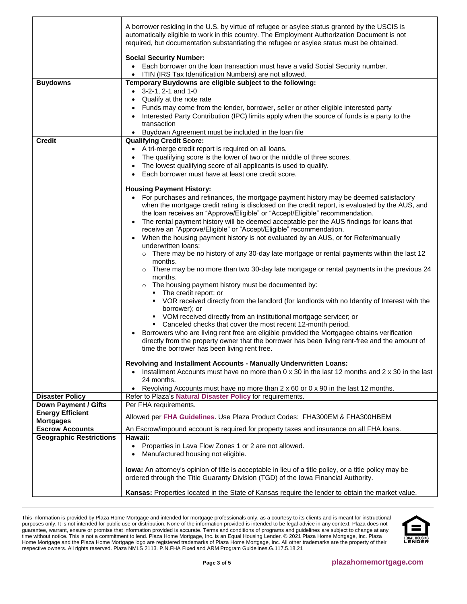| <b>Buydowns</b>                             | A borrower residing in the U.S. by virtue of refugee or asylee status granted by the USCIS is<br>automatically eligible to work in this country. The Employment Authorization Document is not<br>required, but documentation substantiating the refugee or asylee status must be obtained.<br><b>Social Security Number:</b><br>• Each borrower on the loan transaction must have a valid Social Security number.<br>ITIN (IRS Tax Identification Numbers) are not allowed.<br>Temporary Buydowns are eligible subject to the following:<br>$\bullet$ 3-2-1, 2-1 and 1-0<br>Qualify at the note rate<br>Funds may come from the lender, borrower, seller or other eligible interested party<br>• Interested Party Contribution (IPC) limits apply when the source of funds is a party to the<br>transaction                                                                                                                                                                                                                                                                                                                                                                                                                                                                                                                                                                                                                                                                                                                                                                                                                                                                               |
|---------------------------------------------|-------------------------------------------------------------------------------------------------------------------------------------------------------------------------------------------------------------------------------------------------------------------------------------------------------------------------------------------------------------------------------------------------------------------------------------------------------------------------------------------------------------------------------------------------------------------------------------------------------------------------------------------------------------------------------------------------------------------------------------------------------------------------------------------------------------------------------------------------------------------------------------------------------------------------------------------------------------------------------------------------------------------------------------------------------------------------------------------------------------------------------------------------------------------------------------------------------------------------------------------------------------------------------------------------------------------------------------------------------------------------------------------------------------------------------------------------------------------------------------------------------------------------------------------------------------------------------------------------------------------------------------------------------------------------------------------|
|                                             | • Buydown Agreement must be included in the loan file                                                                                                                                                                                                                                                                                                                                                                                                                                                                                                                                                                                                                                                                                                                                                                                                                                                                                                                                                                                                                                                                                                                                                                                                                                                                                                                                                                                                                                                                                                                                                                                                                                     |
| <b>Credit</b>                               | <b>Qualifying Credit Score:</b><br>• A tri-merge credit report is required on all loans.<br>The qualifying score is the lower of two or the middle of three scores.<br>The lowest qualifying score of all applicants is used to qualify.<br>Each borrower must have at least one credit score.<br>$\bullet$<br><b>Housing Payment History:</b><br>• For purchases and refinances, the mortgage payment history may be deemed satisfactory<br>when the mortgage credit rating is disclosed on the credit report, is evaluated by the AUS, and<br>the loan receives an "Approve/Eligible" or "Accept/Eligible" recommendation.<br>• The rental payment history will be deemed acceptable per the AUS findings for loans that<br>receive an "Approve/Eligible" or "Accept/Eligible" recommendation.<br>• When the housing payment history is not evaluated by an AUS, or for Refer/manually<br>underwritten loans:<br>$\circ$ There may be no history of any 30-day late mortgage or rental payments within the last 12<br>months.<br>$\circ$ There may be no more than two 30-day late mortgage or rental payments in the previous 24<br>months.<br>o The housing payment history must be documented by:<br>• The credit report; or<br>• VOR received directly from the landlord (for landlords with no Identity of Interest with the<br>borrower); or<br>VOM received directly from an institutional mortgage servicer; or<br>Canceled checks that cover the most recent 12-month period.<br>Borrowers who are living rent free are eligible provided the Mortgagee obtains verification<br>directly from the property owner that the borrower has been living rent-free and the amount of |
|                                             | time the borrower has been living rent free.<br>Revolving and Installment Accounts - Manually Underwritten Loans:<br>• Installment Accounts must have no more than $0 \times 30$ in the last 12 months and $2 \times 30$ in the last<br>24 months.<br>Revolving Accounts must have no more than 2 x 60 or 0 x 90 in the last 12 months.<br>$\bullet$                                                                                                                                                                                                                                                                                                                                                                                                                                                                                                                                                                                                                                                                                                                                                                                                                                                                                                                                                                                                                                                                                                                                                                                                                                                                                                                                      |
| <b>Disaster Policy</b>                      | Refer to Plaza's Natural Disaster Policy for requirements.                                                                                                                                                                                                                                                                                                                                                                                                                                                                                                                                                                                                                                                                                                                                                                                                                                                                                                                                                                                                                                                                                                                                                                                                                                                                                                                                                                                                                                                                                                                                                                                                                                |
| Down Payment / Gifts                        | Per FHA requirements.                                                                                                                                                                                                                                                                                                                                                                                                                                                                                                                                                                                                                                                                                                                                                                                                                                                                                                                                                                                                                                                                                                                                                                                                                                                                                                                                                                                                                                                                                                                                                                                                                                                                     |
| <b>Energy Efficient</b><br><b>Mortgages</b> | Allowed per FHA Guidelines. Use Plaza Product Codes: FHA300EM & FHA300HBEM                                                                                                                                                                                                                                                                                                                                                                                                                                                                                                                                                                                                                                                                                                                                                                                                                                                                                                                                                                                                                                                                                                                                                                                                                                                                                                                                                                                                                                                                                                                                                                                                                |
| <b>Escrow Accounts</b>                      | An Escrow/impound account is required for property taxes and insurance on all FHA loans.                                                                                                                                                                                                                                                                                                                                                                                                                                                                                                                                                                                                                                                                                                                                                                                                                                                                                                                                                                                                                                                                                                                                                                                                                                                                                                                                                                                                                                                                                                                                                                                                  |
| <b>Geographic Restrictions</b>              | Hawaii:<br>Properties in Lava Flow Zones 1 or 2 are not allowed.<br>Manufactured housing not eligible.<br>$\bullet$                                                                                                                                                                                                                                                                                                                                                                                                                                                                                                                                                                                                                                                                                                                                                                                                                                                                                                                                                                                                                                                                                                                                                                                                                                                                                                                                                                                                                                                                                                                                                                       |
|                                             | lowa: An attorney's opinion of title is acceptable in lieu of a title policy, or a title policy may be<br>ordered through the Title Guaranty Division (TGD) of the Iowa Financial Authority.                                                                                                                                                                                                                                                                                                                                                                                                                                                                                                                                                                                                                                                                                                                                                                                                                                                                                                                                                                                                                                                                                                                                                                                                                                                                                                                                                                                                                                                                                              |
|                                             | Kansas: Properties located in the State of Kansas require the lender to obtain the market value.                                                                                                                                                                                                                                                                                                                                                                                                                                                                                                                                                                                                                                                                                                                                                                                                                                                                                                                                                                                                                                                                                                                                                                                                                                                                                                                                                                                                                                                                                                                                                                                          |

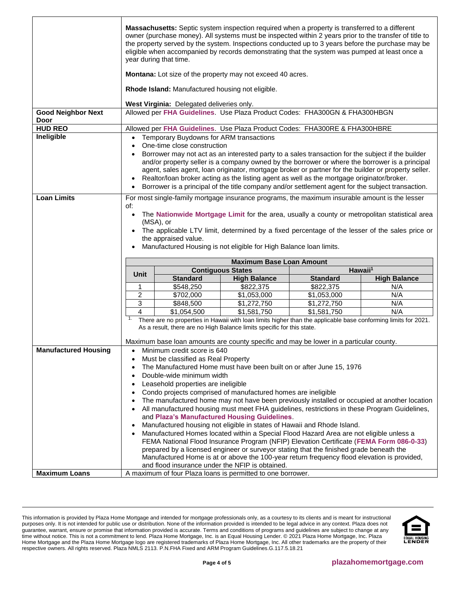|                                   |                                                                                                                                                                                                                                                                                                                                                            | year during that time.                                                                                  | Massachusetts: Septic system inspection required when a property is transferred to a different<br>eligible when accompanied by records demonstrating that the system was pumped at least once a                                                                                                                                                                                                                                                                                                         |                 | owner (purchase money). All systems must be inspected within 2 years prior to the transfer of title to<br>the property served by the system. Inspections conducted up to 3 years before the purchase may be |
|-----------------------------------|------------------------------------------------------------------------------------------------------------------------------------------------------------------------------------------------------------------------------------------------------------------------------------------------------------------------------------------------------------|---------------------------------------------------------------------------------------------------------|---------------------------------------------------------------------------------------------------------------------------------------------------------------------------------------------------------------------------------------------------------------------------------------------------------------------------------------------------------------------------------------------------------------------------------------------------------------------------------------------------------|-----------------|-------------------------------------------------------------------------------------------------------------------------------------------------------------------------------------------------------------|
|                                   |                                                                                                                                                                                                                                                                                                                                                            |                                                                                                         | <b>Montana:</b> Lot size of the property may not exceed 40 acres.                                                                                                                                                                                                                                                                                                                                                                                                                                       |                 |                                                                                                                                                                                                             |
|                                   |                                                                                                                                                                                                                                                                                                                                                            | Rhode Island: Manufactured housing not eligible.                                                        |                                                                                                                                                                                                                                                                                                                                                                                                                                                                                                         |                 |                                                                                                                                                                                                             |
|                                   |                                                                                                                                                                                                                                                                                                                                                            | West Virginia: Delegated deliveries only.                                                               |                                                                                                                                                                                                                                                                                                                                                                                                                                                                                                         |                 |                                                                                                                                                                                                             |
| <b>Good Neighbor Next</b><br>Door |                                                                                                                                                                                                                                                                                                                                                            |                                                                                                         | Allowed per FHA Guidelines. Use Plaza Product Codes: FHA300GN & FHA300HBGN                                                                                                                                                                                                                                                                                                                                                                                                                              |                 |                                                                                                                                                                                                             |
| <b>HUD REO</b>                    |                                                                                                                                                                                                                                                                                                                                                            |                                                                                                         | Allowed per FHA Guidelines. Use Plaza Product Codes: FHA300RE & FHA300HBRE                                                                                                                                                                                                                                                                                                                                                                                                                              |                 |                                                                                                                                                                                                             |
| Ineligible                        | $\bullet$                                                                                                                                                                                                                                                                                                                                                  | Temporary Buydowns for ARM transactions<br>One-time close construction                                  |                                                                                                                                                                                                                                                                                                                                                                                                                                                                                                         |                 |                                                                                                                                                                                                             |
|                                   |                                                                                                                                                                                                                                                                                                                                                            |                                                                                                         | Borrower may not act as an interested party to a sales transaction for the subject if the builder<br>Realtor/loan broker acting as the listing agent as well as the mortgage originator/broker.<br>Borrower is a principal of the title company and/or settlement agent for the subject transaction.                                                                                                                                                                                                    |                 | and/or property seller is a company owned by the borrower or where the borrower is a principal<br>agent, sales agent, loan originator, mortgage broker or partner for the builder or property seller.       |
| <b>Loan Limits</b>                | of:                                                                                                                                                                                                                                                                                                                                                        |                                                                                                         | For most single-family mortgage insurance programs, the maximum insurable amount is the lesser                                                                                                                                                                                                                                                                                                                                                                                                          |                 |                                                                                                                                                                                                             |
|                                   | The Nationwide Mortgage Limit for the area, usually a county or metropolitan statistical area<br>$\bullet$<br>(MSA), or<br>The applicable LTV limit, determined by a fixed percentage of the lesser of the sales price or<br>the appraised value.<br>Manufactured Housing is not eligible for High Balance loan limits.<br><b>Maximum Base Loan Amount</b> |                                                                                                         |                                                                                                                                                                                                                                                                                                                                                                                                                                                                                                         |                 |                                                                                                                                                                                                             |
|                                   | Unit                                                                                                                                                                                                                                                                                                                                                       |                                                                                                         | <b>Contiguous States</b>                                                                                                                                                                                                                                                                                                                                                                                                                                                                                |                 | Hawaii <sup>1</sup>                                                                                                                                                                                         |
|                                   |                                                                                                                                                                                                                                                                                                                                                            | <b>Standard</b>                                                                                         | <b>High Balance</b>                                                                                                                                                                                                                                                                                                                                                                                                                                                                                     | <b>Standard</b> | <b>High Balance</b>                                                                                                                                                                                         |
|                                   | 1                                                                                                                                                                                                                                                                                                                                                          | \$548,250                                                                                               | \$822,375                                                                                                                                                                                                                                                                                                                                                                                                                                                                                               | \$822,375       | N/A                                                                                                                                                                                                         |
|                                   | $\overline{c}$                                                                                                                                                                                                                                                                                                                                             | \$702,000                                                                                               | \$1,053,000                                                                                                                                                                                                                                                                                                                                                                                                                                                                                             | \$1,053,000     | N/A                                                                                                                                                                                                         |
|                                   | 3                                                                                                                                                                                                                                                                                                                                                          | \$848,500                                                                                               | \$1,272,750                                                                                                                                                                                                                                                                                                                                                                                                                                                                                             | \$1,272,750     | N/A                                                                                                                                                                                                         |
|                                   | 4                                                                                                                                                                                                                                                                                                                                                          | \$1,054,500                                                                                             | \$1,581,750                                                                                                                                                                                                                                                                                                                                                                                                                                                                                             | \$1,581,750     | N/A                                                                                                                                                                                                         |
|                                   |                                                                                                                                                                                                                                                                                                                                                            |                                                                                                         | As a result, there are no High Balance limits specific for this state.                                                                                                                                                                                                                                                                                                                                                                                                                                  |                 | There are no properties in Hawaii with loan limits higher than the applicable base conforming limits for 2021.                                                                                              |
| <b>Manufactured Housing</b>       |                                                                                                                                                                                                                                                                                                                                                            |                                                                                                         | Maximum base loan amounts are county specific and may be lower in a particular county.                                                                                                                                                                                                                                                                                                                                                                                                                  |                 |                                                                                                                                                                                                             |
|                                   |                                                                                                                                                                                                                                                                                                                                                            | Must be classified as Real Property<br>Double-wide minimum width<br>Leasehold properties are ineligible | The Manufactured Home must have been built on or after June 15, 1976<br>Condo projects comprised of manufactured homes are ineligible                                                                                                                                                                                                                                                                                                                                                                   |                 | The manufactured home may not have been previously installed or occupied at another location<br>All manufactured housing must meet FHA guidelines, restrictions in these Program Guidelines,                |
|                                   | $\bullet$                                                                                                                                                                                                                                                                                                                                                  |                                                                                                         | and Plaza's Manufactured Housing Guidelines.<br>Manufactured housing not eligible in states of Hawaii and Rhode Island.<br>Manufactured Homes located within a Special Flood Hazard Area are not eligible unless a<br>FEMA National Flood Insurance Program (NFIP) Elevation Certificate (FEMA Form 086-0-33)<br>prepared by a licensed engineer or surveyor stating that the finished grade beneath the<br>Manufactured Home is at or above the 100-year return frequency flood elevation is provided, |                 |                                                                                                                                                                                                             |